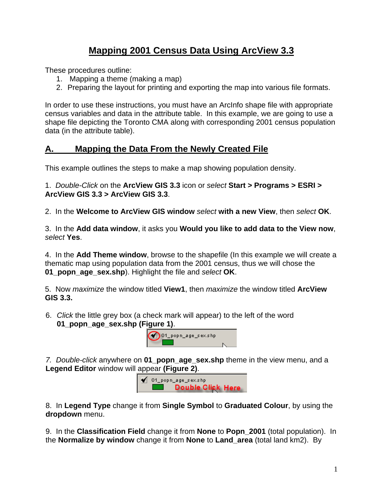## **Mapping 2001 Census Data Using ArcView 3.3**

These procedures outline:

- 1. Mapping a theme (making a map)
- 2. Preparing the layout for printing and exporting the map into various file formats.

In order to use these instructions, you must have an ArcInfo shape file with appropriate census variables and data in the attribute table. In this example, we are going to use a shape file depicting the Toronto CMA along with corresponding 2001 census population data (in the attribute table).

## **A. Mapping the Data From the Newly Created File**

This example outlines the steps to make a map showing population density.

1. *Double-Click* on the **ArcView GIS 3.3** icon or *select* **Start > Programs > ESRI > ArcView GIS 3.3 > ArcView GIS 3.3**.

2. In the **Welcome to ArcView GIS window** *select* **with a new View**, then *select* **OK**.

3. In the **Add data window**, it asks you **Would you like to add data to the View now**, *select* **Yes**.

4. In the **Add Theme window**, browse to the shapefile (In this example we will create a thematic map using population data from the 2001 census, thus we will chose the **01\_popn\_age\_sex.shp**). Highlight the file and *select* **OK**.

5. Now *maximize* the window titled **View1**, then *maximize* the window titled **ArcView GIS 3.3.**

6. *Click* the little grey box (a check mark will appear) to the left of the word **01\_popn\_age\_sex.shp (Figure 1)**.



*7. Double-click* anywhere on **01\_popn\_age\_sex.shp** theme in the view menu, and a **Legend Editor** window will appear **(Figure 2)**.

> $\blacklozenge$  01\_popn\_age\_sex.shp **Double Click Here**

8. In **Legend Type** change it from **Single Symbol** to **Graduated Colour**, by using the **dropdown** menu.

9. In the **Classification Field** change it from **None** to **Popn\_2001** (total population). In the **Normalize by window** change it from **None** to **Land\_area** (total land km2). By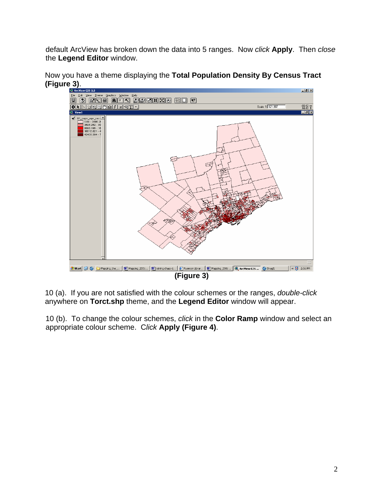default ArcView has broken down the data into 5 ranges. Now *click* **Apply**. Then *close*  the **Legend Editor** window.



Now you have a theme displaying the **Total Population Density By Census Tract (Figure 3)**.

10 (a). If you are not satisfied with the colour schemes or the ranges, *double-click* anywhere on **Torct.shp** theme, and the **Legend Editor** window will appear.

10 (b). To change the colour schemes, *click* in the **Color Ramp** window and select an appropriate colour scheme. C*lick* **Apply (Figure 4)**.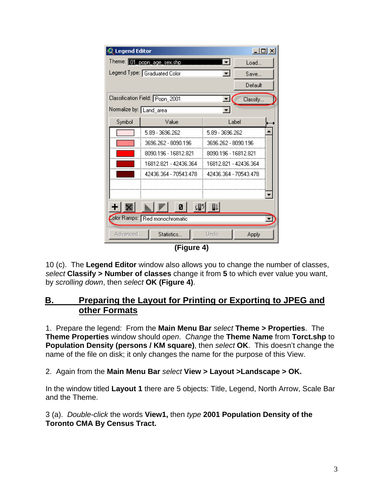| $\Box$ o $\Box$<br>Legend Editor                                                               |                            |                       |          |  |
|------------------------------------------------------------------------------------------------|----------------------------|-----------------------|----------|--|
|                                                                                                | Theme: 11 poph age sex shp | ▮┳                    | Load     |  |
| Legend Type: Graduated Color                                                                   |                            | $\blacksquare$        | Save     |  |
|                                                                                                |                            |                       | Default  |  |
| Classification Field: Popn 2001                                                                |                            | ᆂ                     | Classify |  |
| Normalize by: Land area                                                                        |                            |                       |          |  |
| Symbol                                                                                         | Value                      | Label                 |          |  |
|                                                                                                | 5.89 - 3696.262            | 5.89 - 3696.262       |          |  |
|                                                                                                | 3696.262 - 8090.196        | 3696.262 - 8090.196   |          |  |
|                                                                                                | 8090.196 - 16812.821       | 8090.196 - 16812.821  |          |  |
|                                                                                                | 16812.821 - 42436.364      | 16812 821 - 42436 364 |          |  |
|                                                                                                | 42436.364 - 70543.478      | 42436.364 - 70543.478 |          |  |
|                                                                                                |                            |                       |          |  |
|                                                                                                |                            |                       |          |  |
| $\lfloor \frac{1}{2} \rfloor$ $\lfloor \frac{1}{2} \rfloor$ $\lfloor 0 \rfloor$<br>卿<br>即<br>+ |                            |                       |          |  |
| Color Ramps: Red monochromatic                                                                 |                            |                       |          |  |
| Advanced                                                                                       | Statistics                 | Undo                  | Apply    |  |

**(Figure 4)**

10 (c). The **Legend Editor** window also allows you to change the number of classes, *select* **Classify > Number of classes** change it from **5** to which ever value you want, by *scrolling down*, then *select* **OK (Figure 4)**.

## **B. Preparing the Layout for Printing or Exporting to JPEG and other Formats**

1. Prepare the legend: From the **Main Menu Bar** *select* **Theme > Properties**. The **Theme Properties** window should *open*. *Change* the **Theme Name** from **Torct.shp** to **Population Density (persons / KM square)**, then *select* **OK**. This doesn't change the name of the file on disk; it only changes the name for the purpose of this View.

2. Again from the **Main Menu Bar** *select* **View > Layout >Landscape > OK.** 

In the window titled **Layout 1** there are 5 objects: Title, Legend, North Arrow, Scale Bar and the Theme.

3 (a). *Double-click* the words **View1,** then *type* **2001 Population Density of the Toronto CMA By Census Tract.**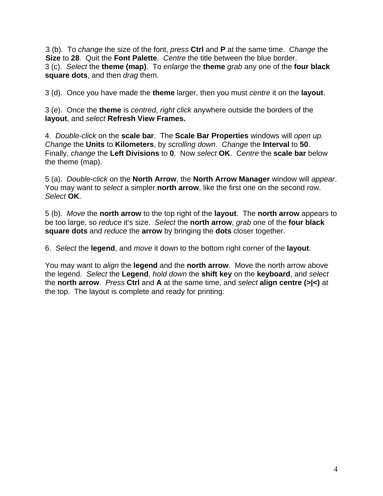3 (b). To *change* the size of the font, *press* **Ctrl** and **P** at the same time. *Change* the **Size** to **28**. Quit the **Font Palette**. *Centre* the title between the blue border. 3 (c). *Select* the **theme (map)**. To *enlarge* the **theme** *grab* any one of the **four black square dots**, and then *drag* them.

3 (d). Once you have made the **theme** larger, then you must *centre* it on the **layout**.

3 (e). Once the **theme** is *centred*, *right click* anywhere outside the borders of the **layout**, and *select* **Refresh View Frames.**

4. *Double-click* on the **scale bar**. The **Scale Bar Properties** windows will *open up. Change* the **Units** to **Kilometers**, by *scrolling down*. *Change* the **Interval** to **50**. Finally, *change* the **Left Divisions** to **0**. Now *select* **OK**. C*entre* the **scale bar** below the theme (map).

5 (a). *Double-click* on the **North Arrow**, the **North Arrow Manager** window will *appear*. You may want to *select* a simpler **north arrow**, like the first one on the second row. *Select* **OK**.

5 (b). *Move* the **north arrow** to the top right of the **layout**. The **north arrow** appears to be too large, so *reduce* it's size. *Select* the **north arrow**, *grab* one of the **four black square dots** and *reduce* the **arrow** by bringing the **dots** closer together.

6. *Select* the **legend**, and *move* it down to the bottom right corner of the **layout**.

You may want to *align* the **legend** and the **north arrow**. Move the north arrow above the legend. *Select* the **Legend**, *hold down* the **shift key** on the **keyboard**, and *select* the **north arrow**. *Press* **Ctrl** and **A** at the same time, and *select* **align centre (>|<)** at the top. The layout is complete and ready for printing: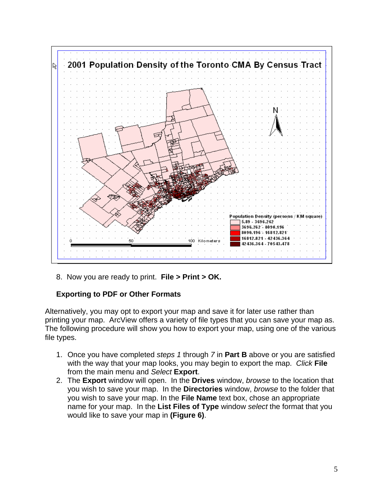

8. Now you are ready to print. **File > Print > OK.**

## **Exporting to PDF or Other Formats**

Alternatively, you may opt to export your map and save it for later use rather than printing your map. ArcView offers a variety of file types that you can save your map as. The following procedure will show you how to export your map, using one of the various file types.

- 1. Once you have completed *steps 1* through *7* in **Part B** above or you are satisfied with the way that your map looks, you may begin to export the map. *Click* **File** from the main menu and *Select* **Export**.
- 2. The **Export** window will open. In the **Drives** window, *browse* to the location that you wish to save your map. In the **Directories** window, *browse* to the folder that you wish to save your map. In the **File Name** text box, chose an appropriate name for your map. In the **List Files of Type** window *select* the format that you would like to save your map in **(Figure 6)**.